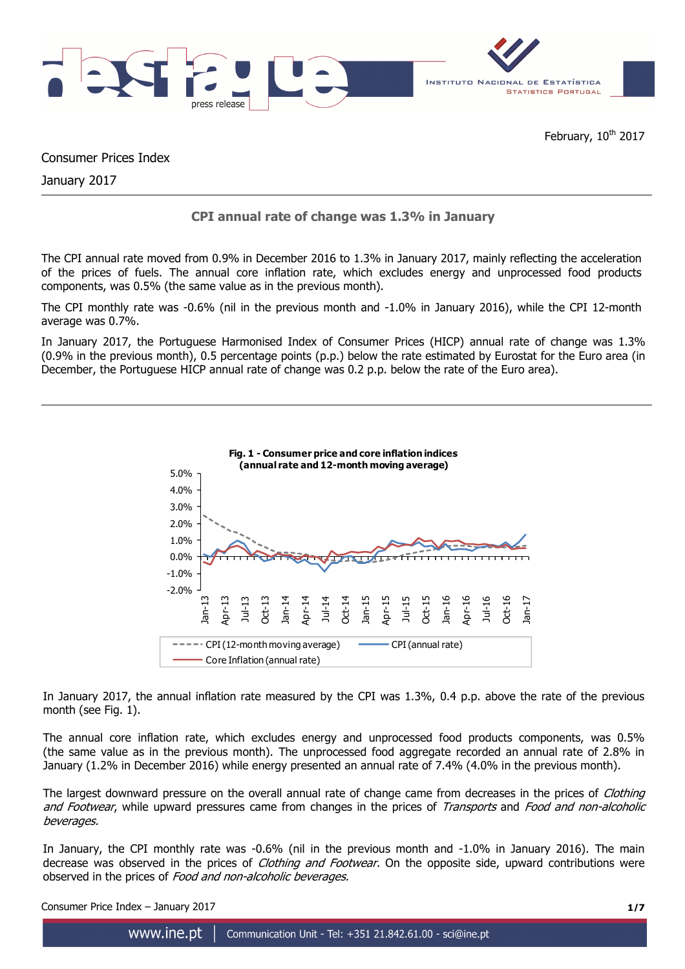

February, 10<sup>th</sup> 2017

Consumer Prices Index

January 2017

# **CPI annual rate of change was 1.3% in January**

The CPI annual rate moved from 0.9% in December 2016 to 1.3% in January 2017, mainly reflecting the acceleration of the prices of fuels. The annual core inflation rate, which excludes energy and unprocessed food products components, was 0.5% (the same value as in the previous month).

The CPI monthly rate was -0.6% (nil in the previous month and -1.0% in January 2016), while the CPI 12-month average was 0.7%.

In January 2017, the Portuguese Harmonised Index of Consumer Prices (HICP) annual rate of change was 1.3% (0.9% in the previous month), 0.5 percentage points (p.p.) below the rate estimated by Eurostat for the Euro area (in December, the Portuguese HICP annual rate of change was 0.2 p.p. below the rate of the Euro area).



In January 2017, the annual inflation rate measured by the CPI was 1.3%, 0.4 p.p. above the rate of the previous month (see Fig. 1).

The annual core inflation rate, which excludes energy and unprocessed food products components, was 0.5% (the same value as in the previous month). The unprocessed food aggregate recorded an annual rate of 2.8% in January (1.2% in December 2016) while energy presented an annual rate of 7.4% (4.0% in the previous month).

The largest downward pressure on the overall annual rate of change came from decreases in the prices of *Clothing* and Footwear, while upward pressures came from changes in the prices of Transports and Food and non-alcoholic beverages.

In January, the CPI monthly rate was -0.6% (nil in the previous month and -1.0% in January 2016). The main decrease was observed in the prices of *Clothing and Footwear*. On the opposite side, upward contributions were observed in the prices of Food and non-alcoholic beverages.

Consumer Price Index – January 2017 **1/7**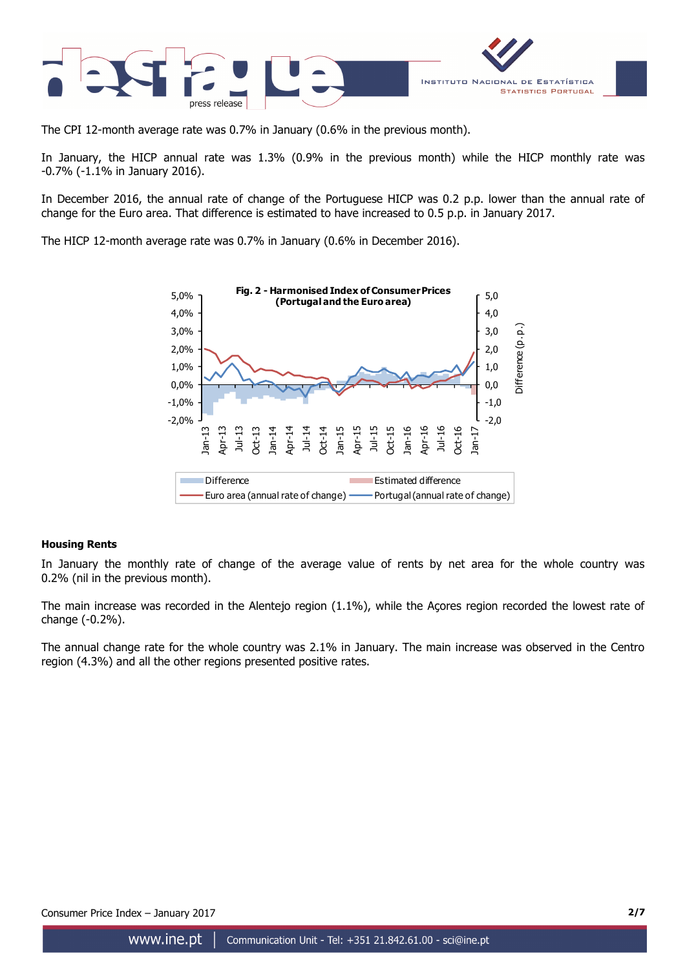

The CPI 12-month average rate was 0.7% in January (0.6% in the previous month).

In January, the HICP annual rate was 1.3% (0.9% in the previous month) while the HICP monthly rate was -0.7% (-1.1% in January 2016).

In December 2016, the annual rate of change of the Portuguese HICP was 0.2 p.p. lower than the annual rate of change for the Euro area. That difference is estimated to have increased to 0.5 p.p. in January 2017.

The HICP 12-month average rate was 0.7% in January (0.6% in December 2016).



#### **Housing Rents**

In January the monthly rate of change of the average value of rents by net area for the whole country was 0.2% (nil in the previous month).

The main increase was recorded in the Alentejo region (1.1%), while the Açores region recorded the lowest rate of change (-0.2%).

The annual change rate for the whole country was 2.1% in January. The main increase was observed in the Centro region (4.3%) and all the other regions presented positive rates.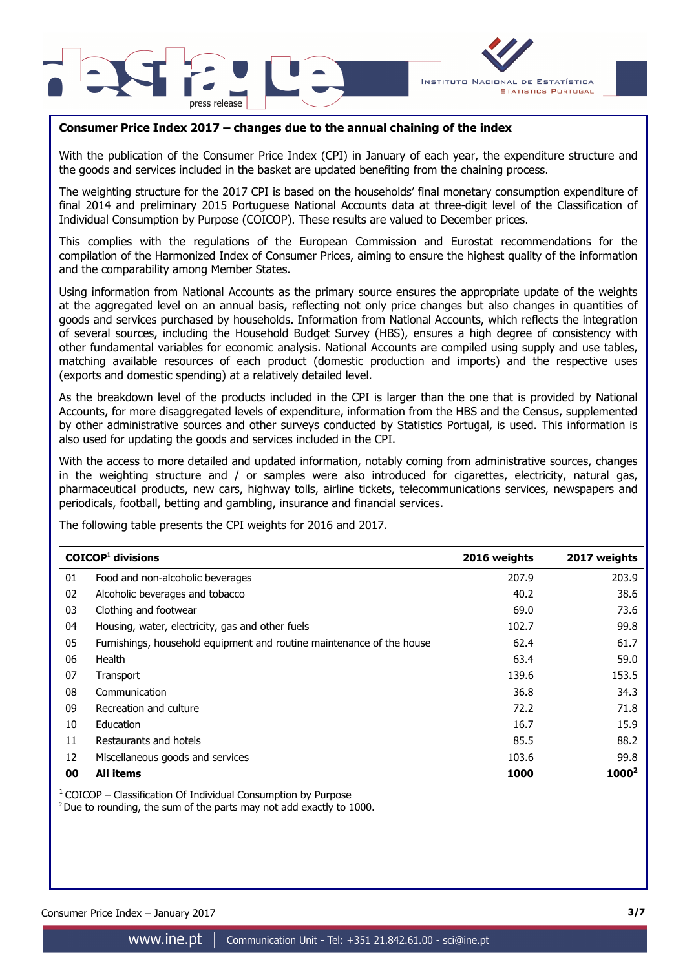



## **Consumer Price Index 2017 – changes due to the annual chaining of the index**

With the publication of the Consumer Price Index (CPI) in January of each year, the expenditure structure and the goods and services included in the basket are updated benefiting from the chaining process.

The weighting structure for the 2017 CPI is based on the households' final monetary consumption expenditure of final 2014 and preliminary 2015 Portuguese National Accounts data at three-digit level of the Classification of Individual Consumption by Purpose (COICOP). These results are valued to December prices.

This complies with the regulations of the European Commission and Eurostat recommendations for the compilation of the Harmonized Index of Consumer Prices, aiming to ensure the highest quality of the information and the comparability among Member States.

Using information from National Accounts as the primary source ensures the appropriate update of the weights at the aggregated level on an annual basis, reflecting not only price changes but also changes in quantities of goods and services purchased by households. Information from National Accounts, which reflects the integration of several sources, including the Household Budget Survey (HBS), ensures a high degree of consistency with other fundamental variables for economic analysis. National Accounts are compiled using supply and use tables, matching available resources of each product (domestic production and imports) and the respective uses (exports and domestic spending) at a relatively detailed level.

As the breakdown level of the products included in the CPI is larger than the one that is provided by National Accounts, for more disaggregated levels of expenditure, information from the HBS and the Census, supplemented by other administrative sources and other surveys conducted by Statistics Portugal, is used. This information is also used for updating the goods and services included in the CPI.

With the access to more detailed and updated information, notably coming from administrative sources, changes in the weighting structure and / or samples were also introduced for cigarettes, electricity, natural gas, pharmaceutical products, new cars, highway tolls, airline tickets, telecommunications services, newspapers and periodicals, football, betting and gambling, insurance and financial services.

The following table presents the CPI weights for 2016 and 2017.

|    | $COICOP1$ divisions                                                   | 2016 weights | 2017 weights |
|----|-----------------------------------------------------------------------|--------------|--------------|
| 01 | Food and non-alcoholic beverages                                      | 207.9        | 203.9        |
| 02 | Alcoholic beverages and tobacco                                       | 40.2         | 38.6         |
| 03 | Clothing and footwear                                                 | 69.0         | 73.6         |
| 04 | Housing, water, electricity, gas and other fuels                      | 102.7        | 99.8         |
| 05 | Furnishings, household equipment and routine maintenance of the house | 62.4         | 61.7         |
| 06 | Health                                                                | 63.4         | 59.0         |
| 07 | Transport                                                             | 139.6        | 153.5        |
| 08 | Communication                                                         | 36.8         | 34.3         |
| 09 | Recreation and culture                                                | 72.2         | 71.8         |
| 10 | Education                                                             | 16.7         | 15.9         |
| 11 | Restaurants and hotels                                                | 85.5         | 88.2         |
| 12 | Miscellaneous goods and services                                      | 103.6        | 99.8         |
| 00 | <b>All items</b>                                                      | 1000         | $1000^2$     |

 $1$  COICOP – Classification Of Individual Consumption by Purpose

<sup>2</sup> Due to rounding, the sum of the parts may not add exactly to 1000.

Consumer Price Index – January 2017 **3/7**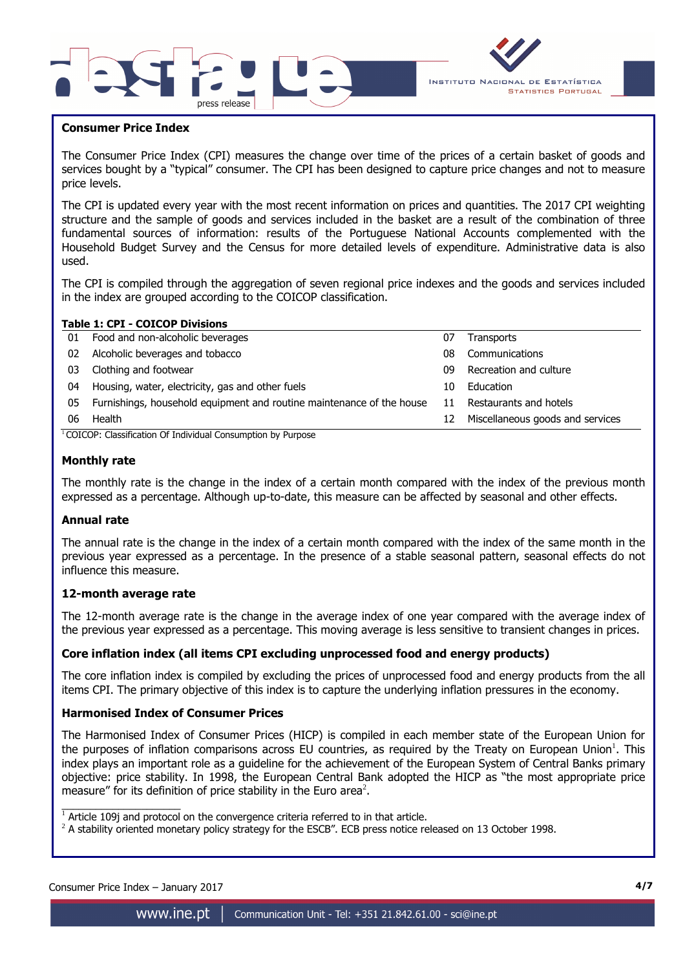



### **Consumer Price Index**

I

The Consumer Price Index (CPI) measures the change over time of the prices of a certain basket of goods and services bought by a "typical" consumer. The CPI has been designed to capture price changes and not to measure price levels.

The CPI is updated every year with the most recent information on prices and quantities. The 2017 CPI weighting structure and the sample of goods and services included in the basket are a result of the combination of three fundamental sources of information: results of the Portuguese National Accounts complemented with the Household Budget Survey and the Census for more detailed levels of expenditure. Administrative data is also used.

The CPI is compiled through the aggregation of seven regional price indexes and the goods and services included in the index are grouped according to the COICOP classification.

|     | <b>Table 1: CPI - COICOP Divisions</b>                                |    |                                  |
|-----|-----------------------------------------------------------------------|----|----------------------------------|
| 01  | Food and non-alcoholic beverages                                      | 07 | Transports                       |
| 02. | Alcoholic beverages and tobacco                                       | 08 | Communications                   |
| 03  | Clothing and footwear                                                 | 09 | Recreation and culture           |
| 04  | Housing, water, electricity, gas and other fuels                      | 10 | Education                        |
| 05  | Furnishings, household equipment and routine maintenance of the house | 11 | Restaurants and hotels           |
| 06  | Health                                                                | 12 | Miscellaneous goods and services |
|     | COICOD: Classification Of Individual Consumption by Dumeses           |    |                                  |

#### <sup>1</sup>COICOP: Classification Of Individual Consumption by Purpose

#### **Monthly rate**

The monthly rate is the change in the index of a certain month compared with the index of the previous month expressed as a percentage. Although up-to-date, this measure can be affected by seasonal and other effects.

#### **Annual rate**

The annual rate is the change in the index of a certain month compared with the index of the same month in the previous year expressed as a percentage. In the presence of a stable seasonal pattern, seasonal effects do not influence this measure.

#### **12-month average rate**

The 12-month average rate is the change in the average index of one year compared with the average index of the previous year expressed as a percentage. This moving average is less sensitive to transient changes in prices.

#### **Core inflation index (all items CPI excluding unprocessed food and energy products)**

The core inflation index is compiled by excluding the prices of unprocessed food and energy products from the all items CPI. The primary objective of this index is to capture the underlying inflation pressures in the economy.

#### **Harmonised Index of Consumer Prices**

The Harmonised Index of Consumer Prices (HICP) is compiled in each member state of the European Union for the purposes of inflation comparisons across EU countries, as required by the Treaty on European Union<sup>1</sup>. This index plays an important role as a guideline for the achievement of the European System of Central Banks primary objective: price stability. In 1998, the European Central Bank adopted the HICP as "the most appropriate price measure" for its definition of price stability in the Euro area<sup>2</sup>.

 $\overline{\phantom{a}}$  , and the set of the set of the set of the set of the set of the set of the set of the set of the set of the set of the set of the set of the set of the set of the set of the set of the set of the set of the s

 $1$  Article 109j and protocol on the convergence criteria referred to in that article.

 $^2$  A stability oriented monetary policy strategy for the ESCB". ECB press notice released on 13 October 1998.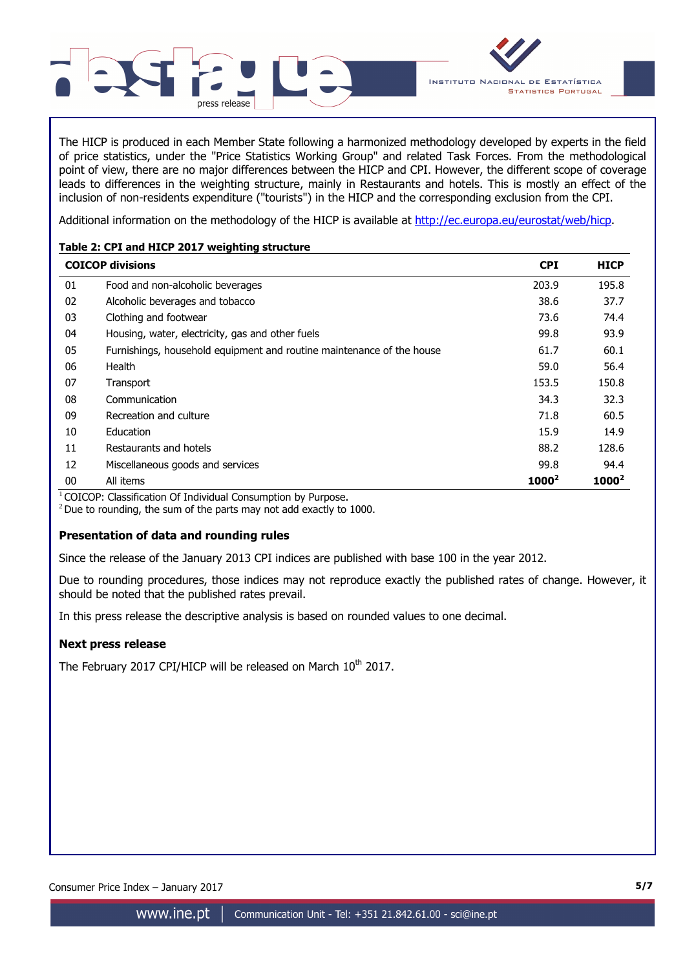

The HICP is produced in each Member State following a harmonized methodology developed by experts in the field of price statistics, under the "Price Statistics Working Group" and related Task Forces. From the methodological point of view, there are no major differences between the HICP and CPI. However, the different scope of coverage leads to differences in the weighting structure, mainly in Restaurants and hotels. This is mostly an effect of the inclusion of non-residents expenditure ("tourists") in the HICP and the corresponding exclusion from the CPI.

Additional information on the methodology of the HICP is available at http://ec.europa.eu/eurostat/web/hicp.

## **Table 2: CPI and HICP 2017 weighting structure**

|    | <b>COICOP divisions</b>                                               | <b>CPI</b> | <b>HICP</b> |
|----|-----------------------------------------------------------------------|------------|-------------|
| 01 | Food and non-alcoholic beverages                                      | 203.9      | 195.8       |
| 02 | Alcoholic beverages and tobacco                                       | 38.6       | 37.7        |
| 03 | Clothing and footwear                                                 | 73.6       | 74.4        |
| 04 | Housing, water, electricity, gas and other fuels                      | 99.8       | 93.9        |
| 05 | Furnishings, household equipment and routine maintenance of the house | 61.7       | 60.1        |
| 06 | Health                                                                | 59.0       | 56.4        |
| 07 | Transport                                                             | 153.5      | 150.8       |
| 08 | Communication                                                         | 34.3       | 32.3        |
| 09 | Recreation and culture                                                | 71.8       | 60.5        |
| 10 | Education                                                             | 15.9       | 14.9        |
| 11 | Restaurants and hotels                                                | 88.2       | 128.6       |
| 12 | Miscellaneous goods and services                                      | 99.8       | 94.4        |
| 00 | All items                                                             | $1000^2$   | $1000^2$    |

 $1$ COICOP: Classification Of Individual Consumption by Purpose.

 $2$  Due to rounding, the sum of the parts may not add exactly to 1000.

## **Presentation of data and rounding rules**

Since the release of the January 2013 CPI indices are published with base 100 in the year 2012.

Due to rounding procedures, those indices may not reproduce exactly the published rates of change. However, it should be noted that the published rates prevail.

In this press release the descriptive analysis is based on rounded values to one decimal.

## **Next press release**

The February 2017 CPI/HICP will be released on March 10<sup>th</sup> 2017.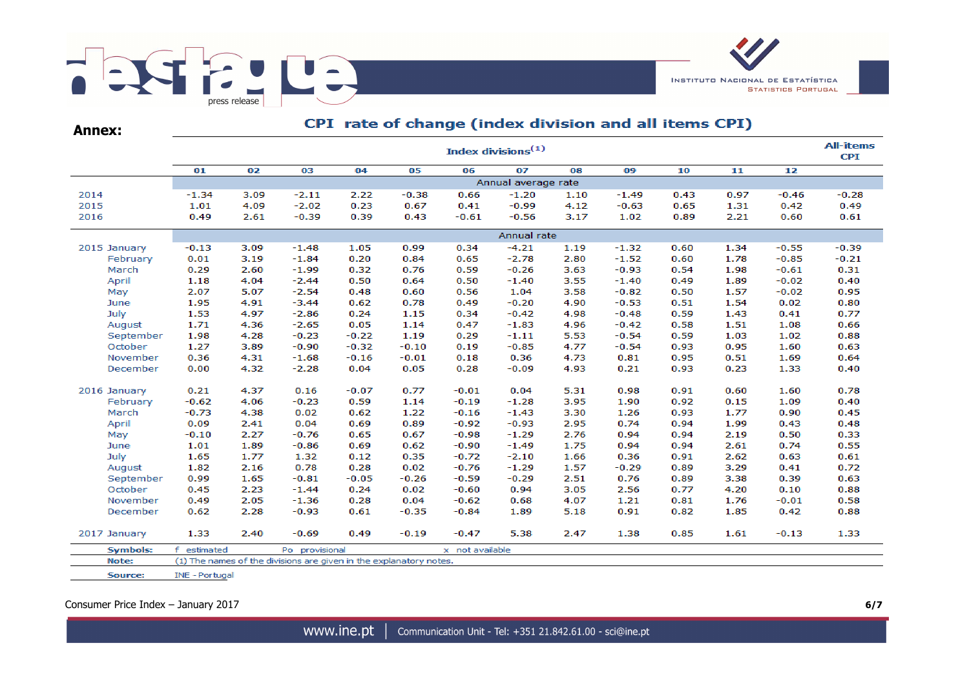

**Annex:**

## CPI rate of change (index division and all items CPI)

|                 | <b>All-items</b><br>Index divisions <sup>(1)</sup> |      |                                                                    |         |         |                 |                     |      |         |      |      |         |         |  |
|-----------------|----------------------------------------------------|------|--------------------------------------------------------------------|---------|---------|-----------------|---------------------|------|---------|------|------|---------|---------|--|
|                 | 01                                                 | 02   | 03                                                                 | 04      | 05      | 06              | 07                  | 08   | 09      | 10   | 11   | 12      |         |  |
|                 |                                                    |      |                                                                    |         |         |                 | Annual average rate |      |         |      |      |         |         |  |
| 2014            | $-1.34$                                            | 3.09 | $-2.11$                                                            | 2.22    | $-0.38$ | 0.66            | $-1.20$             | 1.10 | $-1.49$ | 0.43 | 0.97 | $-0.46$ | $-0.28$ |  |
| 2015            | 1.01                                               | 4.09 | $-2.02$                                                            | 0.23    | 0.67    | 0.41            | $-0.99$             | 4.12 | $-0.63$ | 0.65 | 1.31 | 0.42    | 0.49    |  |
| 2016            | 0.49                                               | 2.61 | $-0.39$                                                            | 0.39    | 0.43    | $-0.61$         | $-0.56$             | 3.17 | 1.02    | 0.89 | 2.21 | 0.60    | 0.61    |  |
|                 |                                                    |      |                                                                    |         |         |                 | Annual rate         |      |         |      |      |         |         |  |
| 2015 January    | $-0.13$                                            | 3.09 | $-1.48$                                                            | 1.05    | 0.99    | 0.34            | $-4.21$             | 1.19 | $-1.32$ | 0.60 | 1.34 | $-0.55$ | $-0.39$ |  |
| February        | 0.01                                               | 3.19 | $-1.84$                                                            | 0.20    | 0.84    | 0.65            | $-2.78$             | 2.80 | $-1.52$ | 0.60 | 1.78 | $-0.85$ | $-0.21$ |  |
| March           | 0.29                                               | 2.60 | $-1.99$                                                            | 0.32    | 0.76    | 0.59            | $-0.26$             | 3.63 | $-0.93$ | 0.54 | 1.98 | $-0.61$ | 0.31    |  |
| April           | 1.18                                               | 4.04 | $-2.44$                                                            | 0.50    | 0.64    | 0.50            | $-1.40$             | 3.55 | $-1.40$ | 0.49 | 1.89 | $-0.02$ | 0.40    |  |
| May             | 2.07                                               | 5.07 | $-2.54$                                                            | 0.48    | 0.60    | 0.56            | 1.04                | 3.58 | $-0.82$ | 0.50 | 1.57 | $-0.02$ | 0.95    |  |
| June            | 1.95                                               | 4.91 | $-3.44$                                                            | 0.62    | 0.78    | 0.49            | $-0.20$             | 4.90 | $-0.53$ | 0.51 | 1.54 | 0.02    | 0.80    |  |
| July            | 1.53                                               | 4.97 | $-2.86$                                                            | 0.24    | 1.15    | 0.34            | $-0.42$             | 4.98 | $-0.48$ | 0.59 | 1.43 | 0.41    | 0.77    |  |
| August          | 1.71                                               | 4.36 | $-2.65$                                                            | 0.05    | 1.14    | 0.47            | $-1.83$             | 4.96 | $-0.42$ | 0.58 | 1.51 | 1.08    | 0.66    |  |
| September       | 1.98                                               | 4.28 | $-0.23$                                                            | $-0.22$ | 1.19    | 0.29            | $-1.11$             | 5.53 | $-0.54$ | 0.59 | 1.03 | 1.02    | 0.88    |  |
| October         | 1.27                                               | 3.89 | $-0.90$                                                            | $-0.32$ | $-0.10$ | 0.19            | $-0.85$             | 4.77 | $-0.54$ | 0.93 | 0.95 | 1.60    | 0.63    |  |
| November        | 0.36                                               | 4.31 | $-1.68$                                                            | $-0.16$ | $-0.01$ | 0.18            | 0.36                | 4.73 | 0.81    | 0.95 | 0.51 | 1.69    | 0.64    |  |
| December        | 0.00                                               | 4.32 | $-2.28$                                                            | 0.04    | 0.05    | 0.28            | $-0.09$             | 4.93 | 0.21    | 0.93 | 0.23 | 1.33    | 0.40    |  |
| 2016 January    | 0.21                                               | 4.37 | 0.16                                                               | $-0.07$ | 0.77    | $-0.01$         | 0.04                | 5.31 | 0.98    | 0.91 | 0.60 | 1.60    | 0.78    |  |
| February        | $-0.62$                                            | 4.06 | $-0.23$                                                            | 0.59    | 1.14    | $-0.19$         | $-1.28$             | 3.95 | 1.90    | 0.92 | 0.15 | 1.09    | 0.40    |  |
| March           | $-0.73$                                            | 4.38 | 0.02                                                               | 0.62    | 1.22    | $-0.16$         | $-1.43$             | 3.30 | 1.26    | 0.93 | 1.77 | 0.90    | 0.45    |  |
| April           | 0.09                                               | 2.41 | 0.04                                                               | 0.69    | 0.89    | $-0.92$         | $-0.93$             | 2.95 | 0.74    | 0.94 | 1.99 | 0.43    | 0.48    |  |
| May             | $-0.10$                                            | 2.27 | $-0.76$                                                            | 0.65    | 0.67    | $-0.98$         | $-1.29$             | 2.76 | 0.94    | 0.94 | 2.19 | 0.50    | 0.33    |  |
| June            | 1.01                                               | 1.89 | $-0.86$                                                            | 0.69    | 0.62    | $-0.90$         | $-1.49$             | 1.75 | 0.94    | 0.94 | 2.61 | 0.74    | 0.55    |  |
| July            | 1.65                                               | 1.77 | 1.32                                                               | 0.12    | 0.35    | $-0.72$         | $-2.10$             | 1.66 | 0.36    | 0.91 | 2.62 | 0.63    | 0.61    |  |
| August          | 1.82                                               | 2.16 | 0.78                                                               | 0.28    | 0.02    | $-0.76$         | $-1.29$             | 1.57 | $-0.29$ | 0.89 | 3.29 | 0.41    | 0.72    |  |
| September       | 0.99                                               | 1.65 | $-0.81$                                                            | $-0.05$ | $-0.26$ | $-0.59$         | $-0.29$             | 2.51 | 0.76    | 0.89 | 3.38 | 0.39    | 0.63    |  |
| October         | 0.45                                               | 2.23 | $-1.44$                                                            | 0.24    | 0.02    | $-0.60$         | 0.94                | 3.05 | 2.56    | 0.77 | 4.20 | 0.10    | 0.88    |  |
| November        | 0.49                                               | 2.05 | $-1.36$                                                            | 0.28    | 0.04    | $-0.62$         | 0.68                | 4.07 | 1.21    | 0.81 | 1.76 | $-0.01$ | 0.58    |  |
| December        | 0.62                                               | 2.28 | $-0.93$                                                            | 0.61    | $-0.35$ | $-0.84$         | 1.89                | 5.18 | 0.91    | 0.82 | 1.85 | 0.42    | 0.88    |  |
| 2017 January    | 1.33                                               | 2.40 | $-0.69$                                                            | 0.49    | $-0.19$ | $-0.47$         | 5.38                | 2.47 | 1.38    | 0.85 | 1.61 | $-0.13$ | 1.33    |  |
| <b>Symbols:</b> | f estimated                                        |      | Po provisional                                                     |         |         | x not available |                     |      |         |      |      |         |         |  |
| Note:           |                                                    |      | (1) The names of the divisions are given in the explanatory notes. |         |         |                 |                     |      |         |      |      |         |         |  |
| Source:         | INE - Portugal                                     |      |                                                                    |         |         |                 |                     |      |         |      |      |         |         |  |

Consumer Price Index – January 2017 **6/7**